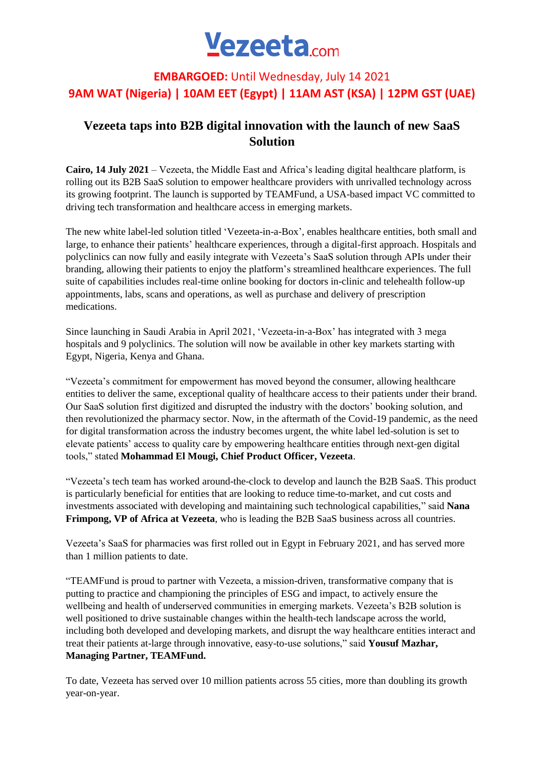# Vezeeta.com

## **EMBARGOED:** Until Wednesday, July 14 2021 **9AM WAT (Nigeria) | 10AM EET (Egypt) | 11AM AST (KSA) | 12PM GST (UAE)**

## **Vezeeta taps into B2B digital innovation with the launch of new SaaS Solution**

**Cairo, 14 July 2021** – Vezeeta, the Middle East and Africa's leading digital healthcare platform, is rolling out its B2B SaaS solution to empower healthcare providers with unrivalled technology across its growing footprint. The launch is supported by TEAMFund, a USA-based impact VC committed to driving tech transformation and healthcare access in emerging markets.

The new white label-led solution titled 'Vezeeta-in-a-Box', enables healthcare entities, both small and large, to enhance their patients' healthcare experiences, through a digital-first approach. Hospitals and polyclinics can now fully and easily integrate with Vezeeta's SaaS solution through APIs under their branding, allowing their patients to enjoy the platform's streamlined healthcare experiences. The full suite of capabilities includes real-time online booking for doctors in-clinic and telehealth follow-up appointments, labs, scans and operations, as well as purchase and delivery of prescription medications.

Since launching in Saudi Arabia in April 2021, 'Vezeeta-in-a-Box' has integrated with 3 mega hospitals and 9 polyclinics. The solution will now be available in other key markets starting with Egypt, Nigeria, Kenya and Ghana.

"Vezeeta's commitment for empowerment has moved beyond the consumer, allowing healthcare entities to deliver the same, exceptional quality of healthcare access to their patients under their brand. Our SaaS solution first digitized and disrupted the industry with the doctors' booking solution, and then revolutionized the pharmacy sector. Now, in the aftermath of the Covid-19 pandemic, as the need for digital transformation across the industry becomes urgent, the white label led-solution is set to elevate patients' access to quality care by empowering healthcare entities through next-gen digital tools," stated **Mohammad El Mougi, Chief Product Officer, Vezeeta**.

"Vezeeta's tech team has worked around-the-clock to develop and launch the B2B SaaS. This product is particularly beneficial for entities that are looking to reduce time-to-market, and cut costs and investments associated with developing and maintaining such technological capabilities," said **Nana Frimpong, VP of Africa at Vezeeta**, who is leading the B2B SaaS business across all countries.

Vezeeta's SaaS for pharmacies was first rolled out in Egypt in February 2021, and has served more than 1 million patients to date.

"TEAMFund is proud to partner with Vezeeta, a mission-driven, transformative company that is putting to practice and championing the principles of ESG and impact, to actively ensure the wellbeing and health of underserved communities in emerging markets. Vezeeta's B2B solution is well positioned to drive sustainable changes within the health-tech landscape across the world, including both developed and developing markets, and disrupt the way healthcare entities interact and treat their patients at-large through innovative, easy-to-use solutions," said **Yousuf Mazhar, Managing Partner, TEAMFund.**

To date, Vezeeta has served over 10 million patients across 55 cities, more than doubling its growth year-on-year.